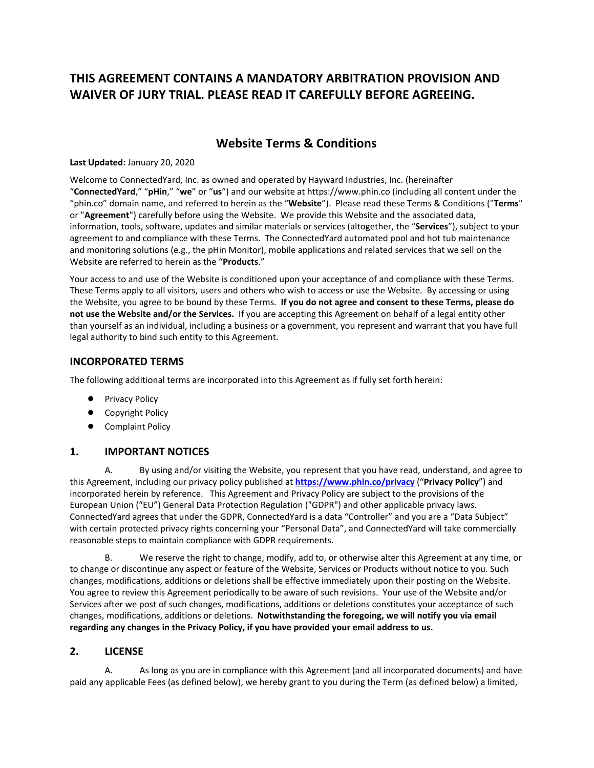# **THIS AGREEMENT CONTAINS A MANDATORY ARBITRATION PROVISION AND WAIVER OF JURY TRIAL. PLEASE READ IT CAREFULLY BEFORE AGREEING.**

# **Website Terms & Conditions**

#### **Last Updated:** January 20, 2020

Welcome to ConnectedYard, Inc. as owned and operated by Hayward Industries, Inc. (hereinafter "**ConnectedYard**," "**pHin**," "**we**" or "**us**") and our website at https://www.phin.co (including all content under the "phin.co" domain name, and referred to herein as the "**Website**"). Please read these Terms & Conditions ("**Terms**" or "**Agreement**") carefully before using the Website. We provide this Website and the associated data, information, tools, software, updates and similar materials or services (altogether, the "**Services**"), subject to your agreement to and compliance with these Terms. The ConnectedYard automated pool and hot tub maintenance and monitoring solutions (e.g., the pHin Monitor), mobile applications and related services that we sell on the Website are referred to herein as the "**Products**."

Your access to and use of the Website is conditioned upon your acceptance of and compliance with these Terms. These Terms apply to all visitors, users and others who wish to access or use the Website. By accessing or using the Website, you agree to be bound by these Terms. **If you do not agree and consent to these Terms, please do not use the Website and/or the Services.** If you are accepting this Agreement on behalf of a legal entity other than yourself as an individual, including a business or a government, you represent and warrant that you have full legal authority to bind such entity to this Agreement.

#### **INCORPORATED TERMS**

The following additional terms are incorporated into this Agreement as if fully set forth herein:

- Privacy Policy
- Copyright Policy
- Complaint Policy

#### **1. IMPORTANT NOTICES**

A. By using and/or visiting the Website, you represent that you have read, understand, and agree to this Agreement, including our privacy policy published at **<https://www.phin.co/privacy>** ("**Privacy Policy**") and incorporated herein by reference. This Agreement and Privacy Policy are subject to the provisions of the European Union ("EU") General Data Protection Regulation ("GDPR") and other applicable privacy laws. ConnectedYard agrees that under the GDPR, ConnectedYard is a data "Controller" and you are a "Data Subject" with certain protected privacy rights concerning your "Personal Data", and ConnectedYard will take commercially reasonable steps to maintain compliance with GDPR requirements.

B. We reserve the right to change, modify, add to, or otherwise alter this Agreement at any time, or to change or discontinue any aspect or feature of the Website, Services or Products without notice to you. Such changes, modifications, additions or deletions shall be effective immediately upon their posting on the Website. You agree to review this Agreement periodically to be aware of such revisions. Your use of the Website and/or Services after we post of such changes, modifications, additions or deletions constitutes your acceptance of such changes, modifications, additions or deletions. **Notwithstanding the foregoing, we will notify you via email regarding any changes in the Privacy Policy, if you have provided your email address to us.**

#### **2. LICENSE**

A. As long as you are in compliance with this Agreement (and all incorporated documents) and have paid any applicable Fees (as defined below), we hereby grant to you during the Term (as defined below) a limited,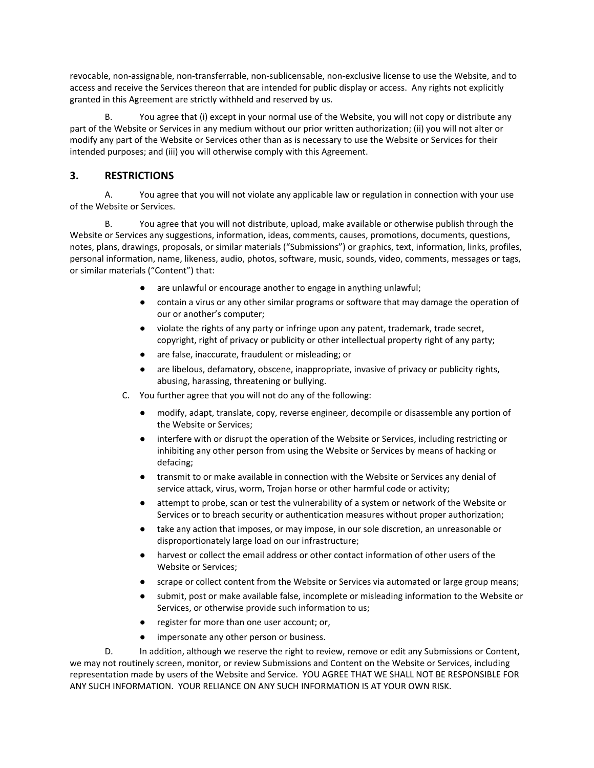revocable, non-assignable, non-transferrable, non-sublicensable, non-exclusive license to use the Website, and to access and receive the Services thereon that are intended for public display or access. Any rights not explicitly granted in this Agreement are strictly withheld and reserved by us.

B. You agree that (i) except in your normal use of the Website, you will not copy or distribute any part of the Website or Services in any medium without our prior written authorization; (ii) you will not alter or modify any part of the Website or Services other than as is necessary to use the Website or Services for their intended purposes; and (iii) you will otherwise comply with this Agreement.

## **3. RESTRICTIONS**

A. You agree that you will not violate any applicable law or regulation in connection with your use of the Website or Services.

B. You agree that you will not distribute, upload, make available or otherwise publish through the Website or Services any suggestions, information, ideas, comments, causes, promotions, documents, questions, notes, plans, drawings, proposals, or similar materials ("Submissions") or graphics, text, information, links, profiles, personal information, name, likeness, audio, photos, software, music, sounds, video, comments, messages or tags, or similar materials ("Content") that:

- are unlawful or encourage another to engage in anything unlawful;
- contain a virus or any other similar programs or software that may damage the operation of our or another's computer;
- violate the rights of any party or infringe upon any patent, trademark, trade secret, copyright, right of privacy or publicity or other intellectual property right of any party;
- are false, inaccurate, fraudulent or misleading; or
- are libelous, defamatory, obscene, inappropriate, invasive of privacy or publicity rights, abusing, harassing, threatening or bullying.
- C. You further agree that you will not do any of the following:
	- modify, adapt, translate, copy, reverse engineer, decompile or disassemble any portion of the Website or Services;
	- interfere with or disrupt the operation of the Website or Services, including restricting or inhibiting any other person from using the Website or Services by means of hacking or defacing;
	- transmit to or make available in connection with the Website or Services any denial of service attack, virus, worm, Trojan horse or other harmful code or activity;
	- attempt to probe, scan or test the vulnerability of a system or network of the Website or Services or to breach security or authentication measures without proper authorization;
	- take any action that imposes, or may impose, in our sole discretion, an unreasonable or disproportionately large load on our infrastructure;
	- harvest or collect the email address or other contact information of other users of the Website or Services;
	- scrape or collect content from the Website or Services via automated or large group means;
	- submit, post or make available false, incomplete or misleading information to the Website or Services, or otherwise provide such information to us;
	- register for more than one user account; or,
	- impersonate any other person or business.

D. In addition, although we reserve the right to review, remove or edit any Submissions or Content, we may not routinely screen, monitor, or review Submissions and Content on the Website or Services, including representation made by users of the Website and Service. YOU AGREE THAT WE SHALL NOT BE RESPONSIBLE FOR ANY SUCH INFORMATION. YOUR RELIANCE ON ANY SUCH INFORMATION IS AT YOUR OWN RISK.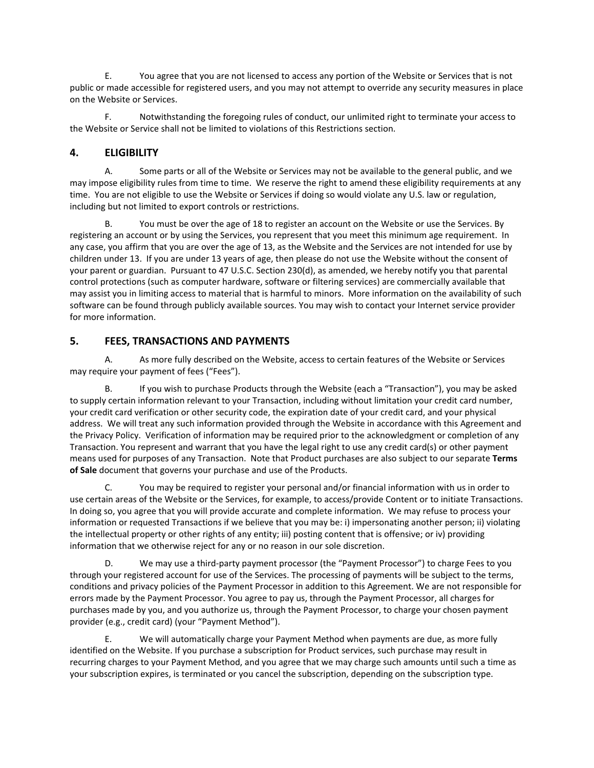E. You agree that you are not licensed to access any portion of the Website or Services that is not public or made accessible for registered users, and you may not attempt to override any security measures in place on the Website or Services.

F. Notwithstanding the foregoing rules of conduct, our unlimited right to terminate your access to the Website or Service shall not be limited to violations of this Restrictions section.

# **4. ELIGIBILITY**

A. Some parts or all of the Website or Services may not be available to the general public, and we may impose eligibility rules from time to time. We reserve the right to amend these eligibility requirements at any time. You are not eligible to use the Website or Services if doing so would violate any U.S. law or regulation, including but not limited to export controls or restrictions.

B. You must be over the age of 18 to register an account on the Website or use the Services. By registering an account or by using the Services, you represent that you meet this minimum age requirement. In any case, you affirm that you are over the age of 13, as the Website and the Services are not intended for use by children under 13. If you are under 13 years of age, then please do not use the Website without the consent of your parent or guardian. Pursuant to 47 U.S.C. Section 230(d), as amended, we hereby notify you that parental control protections (such as computer hardware, software or filtering services) are commercially available that may assist you in limiting access to material that is harmful to minors. More information on the availability of such software can be found through publicly available sources. You may wish to contact your Internet service provider for more information.

## **5. FEES, TRANSACTIONS AND PAYMENTS**

A. As more fully described on the Website, access to certain features of the Website or Services may require your payment of fees ("Fees").

B. If you wish to purchase Products through the Website (each a "Transaction"), you may be asked to supply certain information relevant to your Transaction, including without limitation your credit card number, your credit card verification or other security code, the expiration date of your credit card, and your physical address. We will treat any such information provided through the Website in accordance with this Agreement and the Privacy Policy. Verification of information may be required prior to the acknowledgment or completion of any Transaction. You represent and warrant that you have the legal right to use any credit card(s) or other payment means used for purposes of any Transaction. Note that Product purchases are also subject to our separate **Terms of Sale** document that governs your purchase and use of the Products.

C. You may be required to register your personal and/or financial information with us in order to use certain areas of the Website or the Services, for example, to access/provide Content or to initiate Transactions. In doing so, you agree that you will provide accurate and complete information. We may refuse to process your information or requested Transactions if we believe that you may be: i) impersonating another person; ii) violating the intellectual property or other rights of any entity; iii) posting content that is offensive; or iv) providing information that we otherwise reject for any or no reason in our sole discretion.

D. We may use a third-party payment processor (the "Payment Processor") to charge Fees to you through your registered account for use of the Services. The processing of payments will be subject to the terms, conditions and privacy policies of the Payment Processor in addition to this Agreement. We are not responsible for errors made by the Payment Processor. You agree to pay us, through the Payment Processor, all charges for purchases made by you, and you authorize us, through the Payment Processor, to charge your chosen payment provider (e.g., credit card) (your "Payment Method").

E. We will automatically charge your Payment Method when payments are due, as more fully identified on the Website. If you purchase a subscription for Product services, such purchase may result in recurring charges to your Payment Method, and you agree that we may charge such amounts until such a time as your subscription expires, is terminated or you cancel the subscription, depending on the subscription type.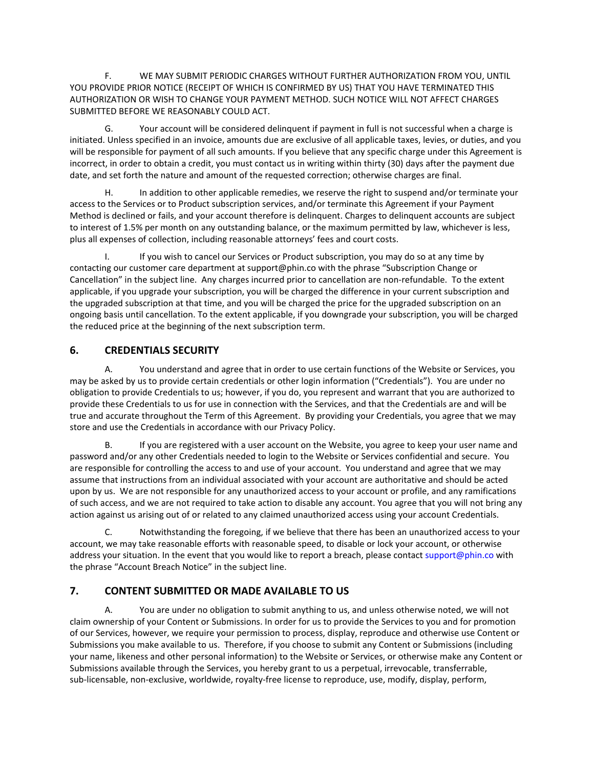F. WE MAY SUBMIT PERIODIC CHARGES WITHOUT FURTHER AUTHORIZATION FROM YOU, UNTIL YOU PROVIDE PRIOR NOTICE (RECEIPT OF WHICH IS CONFIRMED BY US) THAT YOU HAVE TERMINATED THIS AUTHORIZATION OR WISH TO CHANGE YOUR PAYMENT METHOD. SUCH NOTICE WILL NOT AFFECT CHARGES SUBMITTED BEFORE WE REASONABLY COULD ACT.

G. Your account will be considered delinquent if payment in full is not successful when a charge is initiated. Unless specified in an invoice, amounts due are exclusive of all applicable taxes, levies, or duties, and you will be responsible for payment of all such amounts. If you believe that any specific charge under this Agreement is incorrect, in order to obtain a credit, you must contact us in writing within thirty (30) days after the payment due date, and set forth the nature and amount of the requested correction; otherwise charges are final.

H. In addition to other applicable remedies, we reserve the right to suspend and/or terminate your access to the Services or to Product subscription services, and/or terminate this Agreement if your Payment Method is declined or fails, and your account therefore is delinquent. Charges to delinquent accounts are subject to interest of 1.5% per month on any outstanding balance, or the maximum permitted by law, whichever is less, plus all expenses of collection, including reasonable attorneys' fees and court costs.

I. If you wish to cancel our Services or Product subscription, you may do so at any time by contacting our customer care department at support@phin.co with the phrase "Subscription Change or Cancellation" in the subject line. Any charges incurred prior to cancellation are non-refundable. To the extent applicable, if you upgrade your subscription, you will be charged the difference in your current subscription and the upgraded subscription at that time, and you will be charged the price for the upgraded subscription on an ongoing basis until cancellation. To the extent applicable, if you downgrade your subscription, you will be charged the reduced price at the beginning of the next subscription term.

## **6. CREDENTIALS SECURITY**

A. You understand and agree that in order to use certain functions of the Website or Services, you may be asked by us to provide certain credentials or other login information ("Credentials"). You are under no obligation to provide Credentials to us; however, if you do, you represent and warrant that you are authorized to provide these Credentials to us for use in connection with the Services, and that the Credentials are and will be true and accurate throughout the Term of this Agreement. By providing your Credentials, you agree that we may store and use the Credentials in accordance with our Privacy Policy.

B. If you are registered with a user account on the Website, you agree to keep your user name and password and/or any other Credentials needed to login to the Website or Services confidential and secure. You are responsible for controlling the access to and use of your account. You understand and agree that we may assume that instructions from an individual associated with your account are authoritative and should be acted upon by us. We are not responsible for any unauthorized access to your account or profile, and any ramifications of such access, and we are not required to take action to disable any account. You agree that you will not bring any action against us arising out of or related to any claimed unauthorized access using your account Credentials.

C. Notwithstanding the foregoing, if we believe that there has been an unauthorized access to your account, we may take reasonable efforts with reasonable speed, to disable or lock your account, or otherwise address your situation. In the event that you would like to report a breach, please contact support@phin.co with the phrase "Account Breach Notice" in the subject line.

# **7. CONTENT SUBMITTED OR MADE AVAILABLE TO US**

A. You are under no obligation to submit anything to us, and unless otherwise noted, we will not claim ownership of your Content or Submissions. In order for us to provide the Services to you and for promotion of our Services, however, we require your permission to process, display, reproduce and otherwise use Content or Submissions you make available to us. Therefore, if you choose to submit any Content or Submissions (including your name, likeness and other personal information) to the Website or Services, or otherwise make any Content or Submissions available through the Services, you hereby grant to us a perpetual, irrevocable, transferrable, sub-licensable, non-exclusive, worldwide, royalty-free license to reproduce, use, modify, display, perform,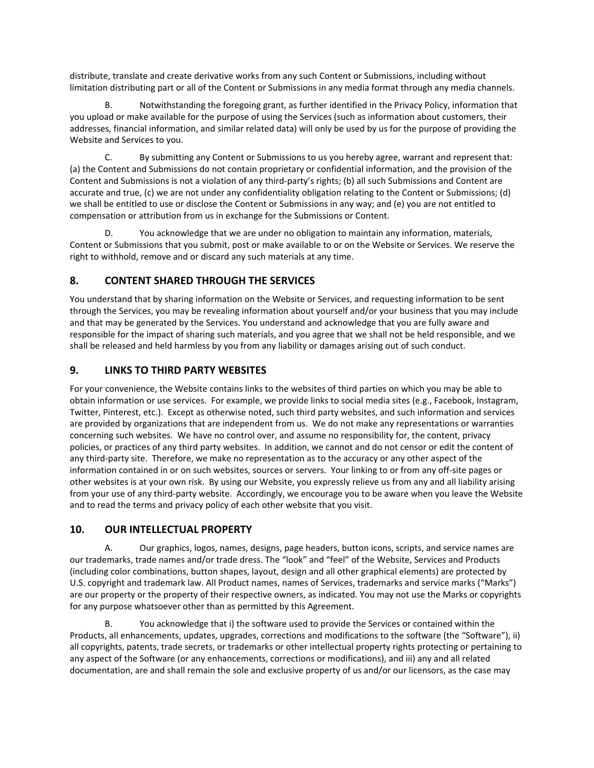distribute, translate and create derivative works from any such Content or Submissions, including without limitation distributing part or all of the Content or Submissions in any media format through any media channels.

B. Notwithstanding the foregoing grant, as further identified in the Privacy Policy, information that you upload or make available for the purpose of using the Services (such as information about customers, their addresses, financial information, and similar related data) will only be used by us for the purpose of providing the Website and Services to you.

C. By submitting any Content or Submissions to us you hereby agree, warrant and represent that: (a) the Content and Submissions do not contain proprietary or confidential information, and the provision of the Content and Submissions is not a violation of any third-party's rights; (b) all such Submissions and Content are accurate and true, (c) we are not under any confidentiality obligation relating to the Content or Submissions; (d) we shall be entitled to use or disclose the Content or Submissions in any way; and (e) you are not entitled to compensation or attribution from us in exchange for the Submissions or Content.

D. You acknowledge that we are under no obligation to maintain any information, materials, Content or Submissions that you submit, post or make available to or on the Website or Services. We reserve the right to withhold, remove and or discard any such materials at any time.

## **8. CONTENT SHARED THROUGH THE SERVICES**

You understand that by sharing information on the Website or Services, and requesting information to be sent through the Services, you may be revealing information about yourself and/or your business that you may include and that may be generated by the Services. You understand and acknowledge that you are fully aware and responsible for the impact of sharing such materials, and you agree that we shall not be held responsible, and we shall be released and held harmless by you from any liability or damages arising out of such conduct.

## **9. LINKS TO THIRD PARTY WEBSITES**

For your convenience, the Website contains links to the websites of third parties on which you may be able to obtain information or use services. For example, we provide links to social media sites (e.g., Facebook, Instagram, Twitter, Pinterest, etc.). Except as otherwise noted, such third party websites, and such information and services are provided by organizations that are independent from us. We do not make any representations or warranties concerning such websites. We have no control over, and assume no responsibility for, the content, privacy policies, or practices of any third party websites. In addition, we cannot and do not censor or edit the content of any third-party site. Therefore, we make no representation as to the accuracy or any other aspect of the information contained in or on such websites, sources or servers. Your linking to or from any off-site pages or other websites is at your own risk. By using our Website, you expressly relieve us from any and all liability arising from your use of any third-party website. Accordingly, we encourage you to be aware when you leave the Website and to read the terms and privacy policy of each other website that you visit.

#### **10. OUR INTELLECTUAL PROPERTY**

A. Our graphics, logos, names, designs, page headers, button icons, scripts, and service names are our trademarks, trade names and/or trade dress. The "look" and "feel" of the Website, Services and Products (including color combinations, button shapes, layout, design and all other graphical elements) are protected by U.S. copyright and trademark law. All Product names, names of Services, trademarks and service marks ("Marks") are our property or the property of their respective owners, as indicated. You may not use the Marks or copyrights for any purpose whatsoever other than as permitted by this Agreement.

B. You acknowledge that i) the software used to provide the Services or contained within the Products, all enhancements, updates, upgrades, corrections and modifications to the software (the "Software"), ii) all copyrights, patents, trade secrets, or trademarks or other intellectual property rights protecting or pertaining to any aspect of the Software (or any enhancements, corrections or modifications), and iii) any and all related documentation, are and shall remain the sole and exclusive property of us and/or our licensors, as the case may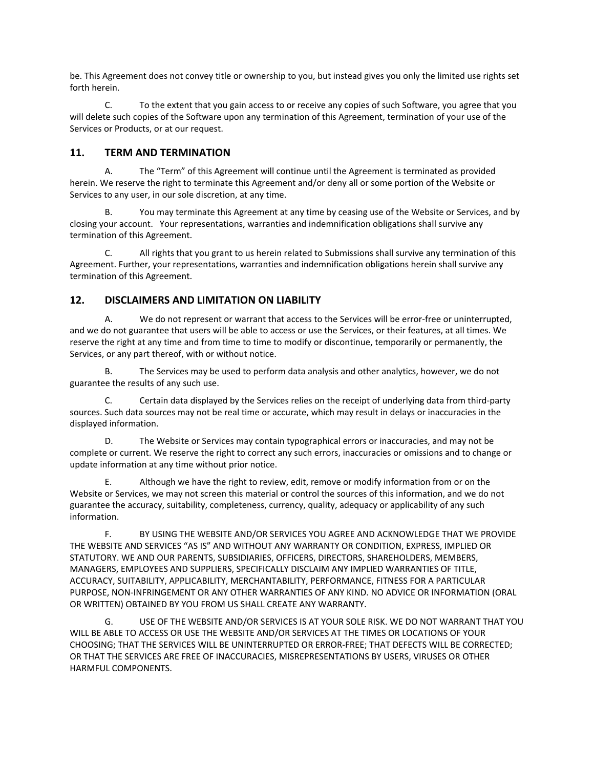be. This Agreement does not convey title or ownership to you, but instead gives you only the limited use rights set forth herein.

C. To the extent that you gain access to or receive any copies of such Software, you agree that you will delete such copies of the Software upon any termination of this Agreement, termination of your use of the Services or Products, or at our request.

### **11. TERM AND TERMINATION**

A. The "Term" of this Agreement will continue until the Agreement is terminated as provided herein. We reserve the right to terminate this Agreement and/or deny all or some portion of the Website or Services to any user, in our sole discretion, at any time.

B. You may terminate this Agreement at any time by ceasing use of the Website or Services, and by closing your account. Your representations, warranties and indemnification obligations shall survive any termination of this Agreement.

C. All rights that you grant to us herein related to Submissions shall survive any termination of this Agreement. Further, your representations, warranties and indemnification obligations herein shall survive any termination of this Agreement.

#### **12. DISCLAIMERS AND LIMITATION ON LIABILITY**

A. We do not represent or warrant that access to the Services will be error-free or uninterrupted, and we do not guarantee that users will be able to access or use the Services, or their features, at all times. We reserve the right at any time and from time to time to modify or discontinue, temporarily or permanently, the Services, or any part thereof, with or without notice.

B. The Services may be used to perform data analysis and other analytics, however, we do not guarantee the results of any such use.

C. Certain data displayed by the Services relies on the receipt of underlying data from third-party sources. Such data sources may not be real time or accurate, which may result in delays or inaccuracies in the displayed information.

D. The Website or Services may contain typographical errors or inaccuracies, and may not be complete or current. We reserve the right to correct any such errors, inaccuracies or omissions and to change or update information at any time without prior notice.

E. Although we have the right to review, edit, remove or modify information from or on the Website or Services, we may not screen this material or control the sources of this information, and we do not guarantee the accuracy, suitability, completeness, currency, quality, adequacy or applicability of any such information.

F. BY USING THE WEBSITE AND/OR SERVICES YOU AGREE AND ACKNOWLEDGE THAT WE PROVIDE THE WEBSITE AND SERVICES "AS IS" AND WITHOUT ANY WARRANTY OR CONDITION, EXPRESS, IMPLIED OR STATUTORY. WE AND OUR PARENTS, SUBSIDIARIES, OFFICERS, DIRECTORS, SHAREHOLDERS, MEMBERS, MANAGERS, EMPLOYEES AND SUPPLIERS, SPECIFICALLY DISCLAIM ANY IMPLIED WARRANTIES OF TITLE, ACCURACY, SUITABILITY, APPLICABILITY, MERCHANTABILITY, PERFORMANCE, FITNESS FOR A PARTICULAR PURPOSE, NON-INFRINGEMENT OR ANY OTHER WARRANTIES OF ANY KIND. NO ADVICE OR INFORMATION (ORAL OR WRITTEN) OBTAINED BY YOU FROM US SHALL CREATE ANY WARRANTY.

G. USE OF THE WEBSITE AND/OR SERVICES IS AT YOUR SOLE RISK. WE DO NOT WARRANT THAT YOU WILL BE ABLE TO ACCESS OR USE THE WEBSITE AND/OR SERVICES AT THE TIMES OR LOCATIONS OF YOUR CHOOSING; THAT THE SERVICES WILL BE UNINTERRUPTED OR ERROR-FREE; THAT DEFECTS WILL BE CORRECTED; OR THAT THE SERVICES ARE FREE OF INACCURACIES, MISREPRESENTATIONS BY USERS, VIRUSES OR OTHER HARMFUL COMPONENTS.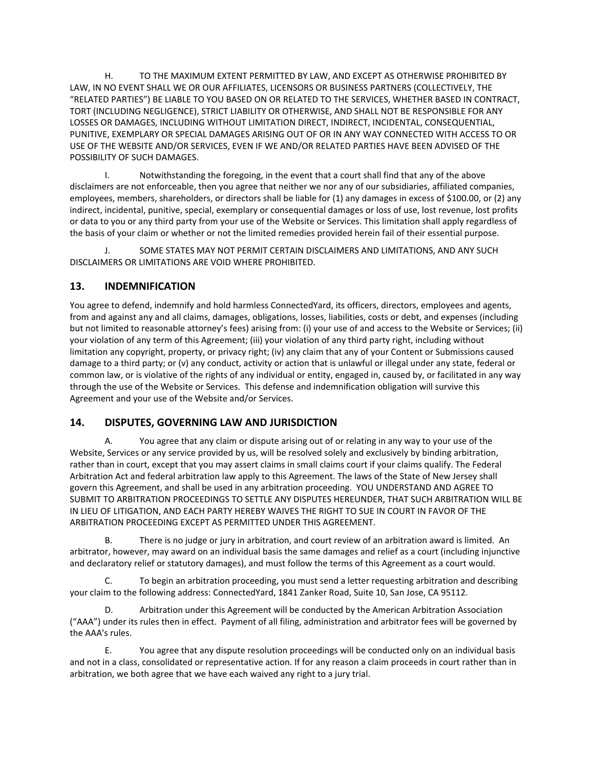H. TO THE MAXIMUM EXTENT PERMITTED BY LAW, AND EXCEPT AS OTHERWISE PROHIBITED BY LAW, IN NO EVENT SHALL WE OR OUR AFFILIATES, LICENSORS OR BUSINESS PARTNERS (COLLECTIVELY, THE "RELATED PARTIES") BE LIABLE TO YOU BASED ON OR RELATED TO THE SERVICES, WHETHER BASED IN CONTRACT, TORT (INCLUDING NEGLIGENCE), STRICT LIABILITY OR OTHERWISE, AND SHALL NOT BE RESPONSIBLE FOR ANY LOSSES OR DAMAGES, INCLUDING WITHOUT LIMITATION DIRECT, INDIRECT, INCIDENTAL, CONSEQUENTIAL, PUNITIVE, EXEMPLARY OR SPECIAL DAMAGES ARISING OUT OF OR IN ANY WAY CONNECTED WITH ACCESS TO OR USE OF THE WEBSITE AND/OR SERVICES, EVEN IF WE AND/OR RELATED PARTIES HAVE BEEN ADVISED OF THE POSSIBILITY OF SUCH DAMAGES.

I. Notwithstanding the foregoing, in the event that a court shall find that any of the above disclaimers are not enforceable, then you agree that neither we nor any of our subsidiaries, affiliated companies, employees, members, shareholders, or directors shall be liable for (1) any damages in excess of \$100.00, or (2) any indirect, incidental, punitive, special, exemplary or consequential damages or loss of use, lost revenue, lost profits or data to you or any third party from your use of the Website or Services. This limitation shall apply regardless of the basis of your claim or whether or not the limited remedies provided herein fail of their essential purpose.

J. SOME STATES MAY NOT PERMIT CERTAIN DISCLAIMERS AND LIMITATIONS, AND ANY SUCH DISCLAIMERS OR LIMITATIONS ARE VOID WHERE PROHIBITED.

### **13. INDEMNIFICATION**

You agree to defend, indemnify and hold harmless ConnectedYard, its officers, directors, employees and agents, from and against any and all claims, damages, obligations, losses, liabilities, costs or debt, and expenses (including but not limited to reasonable attorney's fees) arising from: (i) your use of and access to the Website or Services; (ii) your violation of any term of this Agreement; (iii) your violation of any third party right, including without limitation any copyright, property, or privacy right; (iv) any claim that any of your Content or Submissions caused damage to a third party; or (v) any conduct, activity or action that is unlawful or illegal under any state, federal or common law, or is violative of the rights of any individual or entity, engaged in, caused by, or facilitated in any way through the use of the Website or Services. This defense and indemnification obligation will survive this Agreement and your use of the Website and/or Services.

#### **14. DISPUTES, GOVERNING LAW AND JURISDICTION**

A. You agree that any claim or dispute arising out of or relating in any way to your use of the Website, Services or any service provided by us, will be resolved solely and exclusively by binding arbitration, rather than in court, except that you may assert claims in small claims court if your claims qualify. The Federal Arbitration Act and federal arbitration law apply to this Agreement. The laws of the State of New Jersey shall govern this Agreement, and shall be used in any arbitration proceeding. YOU UNDERSTAND AND AGREE TO SUBMIT TO ARBITRATION PROCEEDINGS TO SETTLE ANY DISPUTES HEREUNDER, THAT SUCH ARBITRATION WILL BE IN LIEU OF LITIGATION, AND EACH PARTY HEREBY WAIVES THE RIGHT TO SUE IN COURT IN FAVOR OF THE ARBITRATION PROCEEDING EXCEPT AS PERMITTED UNDER THIS AGREEMENT.

B. There is no judge or jury in arbitration, and court review of an arbitration award is limited. An arbitrator, however, may award on an individual basis the same damages and relief as a court (including injunctive and declaratory relief or statutory damages), and must follow the terms of this Agreement as a court would.

C. To begin an arbitration proceeding, you must send a letter requesting arbitration and describing your claim to the following address: ConnectedYard, 1841 Zanker Road, Suite 10, San Jose, CA 95112.

D. Arbitration under this Agreement will be conducted by the American Arbitration Association ("AAA") under its rules then in effect. Payment of all filing, administration and arbitrator fees will be governed by the AAA's rules.

E. You agree that any dispute resolution proceedings will be conducted only on an individual basis and not in a class, consolidated or representative action. If for any reason a claim proceeds in court rather than in arbitration, we both agree that we have each waived any right to a jury trial.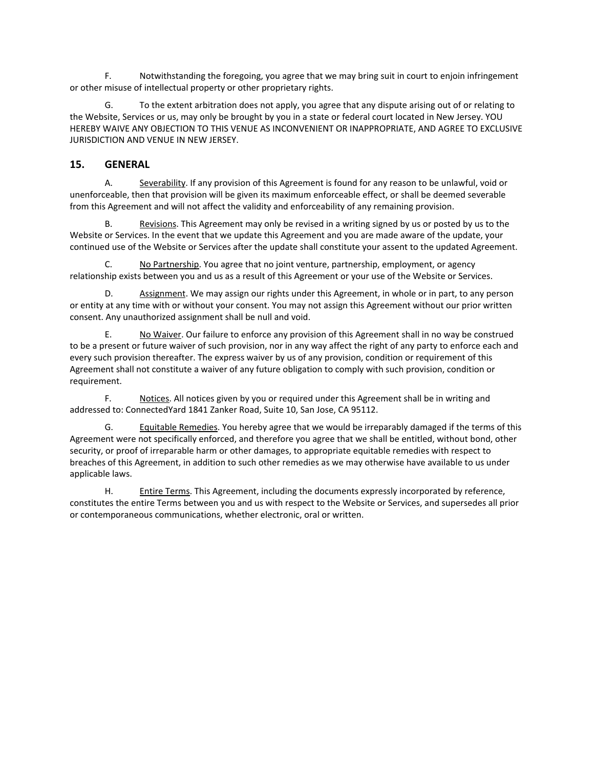F. Notwithstanding the foregoing, you agree that we may bring suit in court to enjoin infringement or other misuse of intellectual property or other proprietary rights.

G. To the extent arbitration does not apply, you agree that any dispute arising out of or relating to the Website, Services or us, may only be brought by you in a state or federal court located in New Jersey. YOU HEREBY WAIVE ANY OBJECTION TO THIS VENUE AS INCONVENIENT OR INAPPROPRIATE, AND AGREE TO EXCLUSIVE JURISDICTION AND VENUE IN NEW JERSEY.

#### **15. GENERAL**

A. Severability. If any provision of this Agreement is found for any reason to be unlawful, void or unenforceable, then that provision will be given its maximum enforceable effect, or shall be deemed severable from this Agreement and will not affect the validity and enforceability of any remaining provision.

B. Revisions. This Agreement may only be revised in a writing signed by us or posted by us to the Website or Services. In the event that we update this Agreement and you are made aware of the update, your continued use of the Website or Services after the update shall constitute your assent to the updated Agreement.

C. No Partnership. You agree that no joint venture, partnership, employment, or agency relationship exists between you and us as a result of this Agreement or your use of the Website or Services.

D. Assignment. We may assign our rights under this Agreement, in whole or in part, to any person or entity at any time with or without your consent. You may not assign this Agreement without our prior written consent. Any unauthorized assignment shall be null and void.

E. No Waiver. Our failure to enforce any provision of this Agreement shall in no way be construed to be a present or future waiver of such provision, nor in any way affect the right of any party to enforce each and every such provision thereafter. The express waiver by us of any provision, condition or requirement of this Agreement shall not constitute a waiver of any future obligation to comply with such provision, condition or requirement.

F. Notices. All notices given by you or required under this Agreement shall be in writing and addressed to: ConnectedYard 1841 Zanker Road, Suite 10, San Jose, CA 95112.

G. Equitable Remedies. You hereby agree that we would be irreparably damaged if the terms of this Agreement were not specifically enforced, and therefore you agree that we shall be entitled, without bond, other security, or proof of irreparable harm or other damages, to appropriate equitable remedies with respect to breaches of this Agreement, in addition to such other remedies as we may otherwise have available to us under applicable laws.

H. Entire Terms. This Agreement, including the documents expressly incorporated by reference, constitutes the entire Terms between you and us with respect to the Website or Services, and supersedes all prior or contemporaneous communications, whether electronic, oral or written.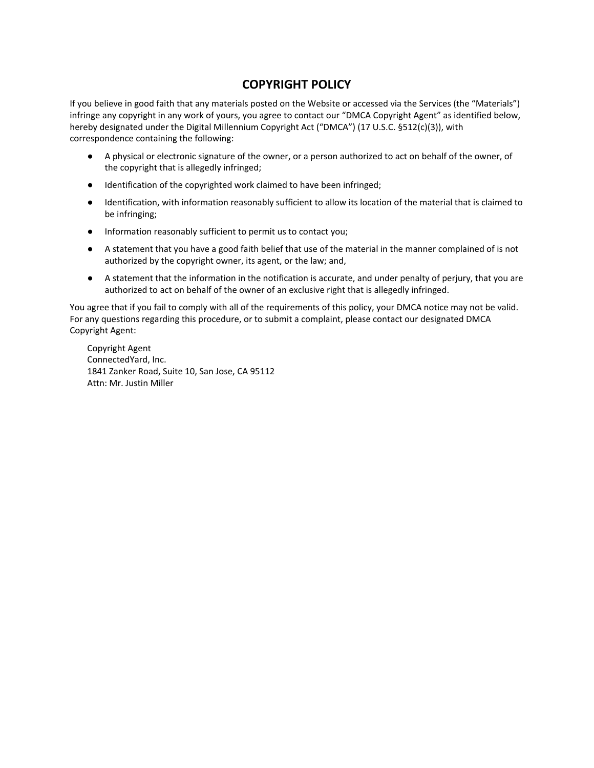# **COPYRIGHT POLICY**

If you believe in good faith that any materials posted on the Website or accessed via the Services (the "Materials") infringe any copyright in any work of yours, you agree to contact our "DMCA Copyright Agent" as identified below, hereby designated under the Digital Millennium Copyright Act ("DMCA") (17 U.S.C. §512(c)(3)), with correspondence containing the following:

- A physical or electronic signature of the owner, or a person authorized to act on behalf of the owner, of the copyright that is allegedly infringed;
- Identification of the copyrighted work claimed to have been infringed;
- Identification, with information reasonably sufficient to allow its location of the material that is claimed to be infringing;
- Information reasonably sufficient to permit us to contact you;
- A statement that you have a good faith belief that use of the material in the manner complained of is not authorized by the copyright owner, its agent, or the law; and,
- A statement that the information in the notification is accurate, and under penalty of perjury, that you are authorized to act on behalf of the owner of an exclusive right that is allegedly infringed.

You agree that if you fail to comply with all of the requirements of this policy, your DMCA notice may not be valid. For any questions regarding this procedure, or to submit a complaint, please contact our designated DMCA Copyright Agent:

Copyright Agent ConnectedYard, Inc. 1841 Zanker Road, Suite 10, San Jose, CA 95112 Attn: Mr. Justin Miller